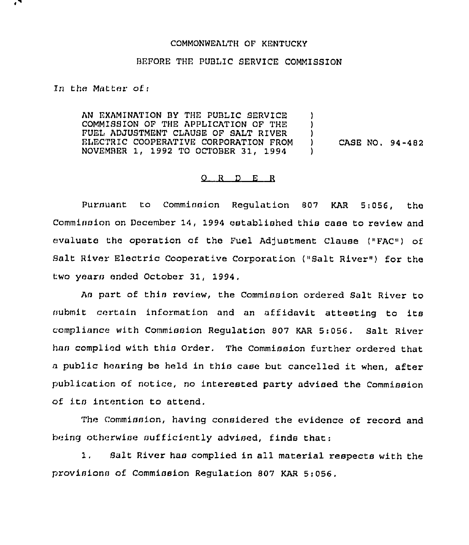## COMMONWEALTH OF KENTUCKY

## BEFORE THE PUBLIC SERVICE COMMISSION

In the Matter of:

AN EXAMINATION BY THE PUBLIC SERVICE COMMISSION OF THE APPLICATION OF THE FUEL ADJUSTMENT CLAUSE OF SALT RIVER ELECTR1C COOPERATIVE CORPORATION FROM NOVEMBER 1, 1992 TO OCTOBER 31, 1994 ) )  $\left\{ \right\}$ ) CASE NO, 94-482 )

## 0 <sup>R</sup> <sup>D</sup> <sup>E</sup> <sup>R</sup>

Pursuant to Commission Regulation 807 KAR 5,056, the Commission on December 14, 1994 established this case to review and evaluate the operation of the Fuel Adjustment Clause ("FAC") of Salt River Electric Cooperative Corporation ("Salt River"} for the two yearn ended October 31, 1994,

As part of this review, the Commission ordered Salt River to submit certain information and an affidavit attesting to its compliance with Commission Regulation 807 KAR 5:056. Salt River han complied with this Order. The Commission further ordered that <sup>a</sup> public hearing be held in this case but cancelled it when, after publication of notice, no interested party advised the Commission of its intention to attend.

The Commission, having considered the evidence of record and being otherwise sufficiently advised, finds that:

1, Salt River has complied in all material respects with the provisions of Commission Regulation 807 KAR 5:056.